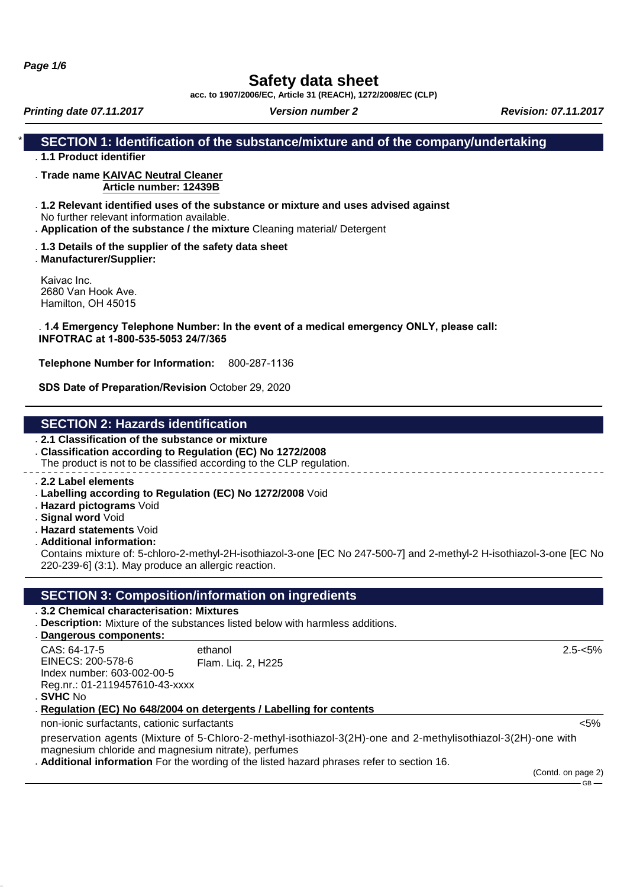**Page 1/6**

# **Safety data sheet**

**acc. to 1907/2006/EC, Article 31 (REACH), 1272/2008/EC (CLP)**

**Printing date 07.11.2017 Version number 2 Revision: 07.11.2017 Revision: 07.11.2017** 

## **SECTION 1: Identification of the substance/mixture and of the company/undertaking**

- . **1.1 Product identifier**
- . **Trade name KAIVAC Neutral Cleaner Article number: 12439B**
- . **1.2 Relevant identified uses of the substance or mixture and uses advised against** No further relevant information available.
- . **Application of the substance / the mixture** Cleaning material/ Detergent
- . **1.3 Details of the supplier of the safety data sheet**
- . **Manufacturer/Supplier:**

Kaivac Inc. 2680 Van Hook Ave. Hamilton, OH 45015

#### . **1.4 Emergency Telephone Number: In the event of a medical emergency ONLY, please call: INFOTRAC at 1-800-535-5053 24/7/365**

**Telephone Number for Information:** 800-287-1136

**SDS Date of Preparation/Revision** October 29, 2020

## **SECTION 2: Hazards identification**

- . **2.1 Classification of the substance or mixture**
- . **Classification according to Regulation (EC) No 1272/2008**

The product is not to be classified according to the CLP regulation.

- . **2.2 Label elements**
- . **Labelling according to Regulation (EC) No 1272/2008** Void
- . **Hazard pictograms** Void
- . **Signal word** Void
- . **Hazard statements** Void
- . **Additional information:**

Contains mixture of: 5-chloro-2-methyl-2H-isothiazol-3-one [EC No 247-500-7] and 2-methyl-2 H-isothiazol-3-one [EC No 220-239-6] (3:1). May produce an allergic reaction.

## **SECTION 3: Composition/information on ingredients**

- . **3.2 Chemical characterisation: Mixtures**
- . **Description:** Mixture of the substances listed below with harmless additions.
- **Dangerous components:** .

| CAS: 64-17-5                   | ethanol            |
|--------------------------------|--------------------|
| EINECS: 200-578-6              | Flam. Liq. 2, H225 |
| Index number: 603-002-00-5     |                    |
| Reg.nr.: 01-2119457610-43-xxxx |                    |
|                                |                    |

. **SVHC** No

**Regulation (EC) No 648/2004 on detergents / Labelling for contents** .

non-ionic surfactants, cationic surfactants <5%

preservation agents (Mixture of 5-Chloro-2-methyl-isothiazol-3(2H)-one and 2-methylisothiazol-3(2H)-one with magnesium chloride and magnesium nitrate), perfumes

. **Additional information** For the wording of the listed hazard phrases refer to section 16.

(Contd. on page 2)

GB

2.5-<5%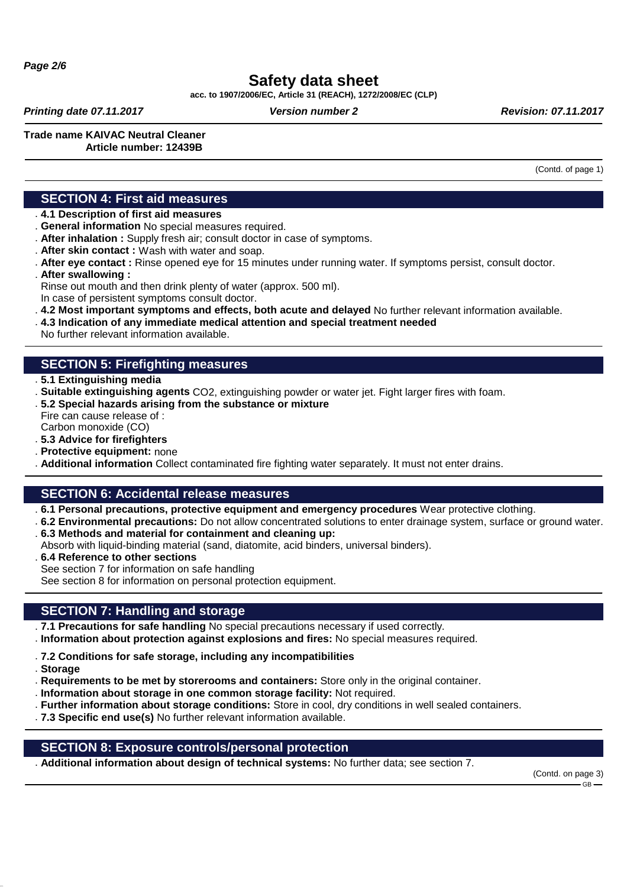# **Safety data sheet**

**acc. to 1907/2006/EC, Article 31 (REACH), 1272/2008/EC (CLP)**

**Printing date 07.11.2017 Version number 2 Revision: 07.11.2017 Revision: 07.11.2017** 

**Trade name KAIVAC Neutral Cleaner**

## **Article number: 12439B**

(Contd. of page 1)

#### **SECTION 4: First aid measures**

- . **4.1 Description of first aid measures**
- . **General information** No special measures required.
- . **After inhalation :** Supply fresh air; consult doctor in case of symptoms.
- . **After skin contact :** Wash with water and soap.
- . **After eye contact :** Rinse opened eye for 15 minutes under running water. If symptoms persist, consult doctor.
- . **After swallowing :**
- Rinse out mouth and then drink plenty of water (approx. 500 ml).
- In case of persistent symptoms consult doctor.
- . **4.2 Most important symptoms and effects, both acute and delayed** No further relevant information available.
- . **4.3 Indication of any immediate medical attention and special treatment needed**
- No further relevant information available.

## **SECTION 5: Firefighting measures**

- . **5.1 Extinguishing media**
- . **Suitable extinguishing agents** CO2, extinguishing powder or water jet. Fight larger fires with foam.
- . **5.2 Special hazards arising from the substance or mixture**
- Fire can cause release of : Carbon monoxide (CO)
- . **5.3 Advice for firefighters**
- . **Protective equipment:** none
- . **Additional information** Collect contaminated fire fighting water separately. It must not enter drains.

## **SECTION 6: Accidental release measures**

- . **6.1 Personal precautions, protective equipment and emergency procedures** Wear protective clothing.
- . **6.2 Environmental precautions:** Do not allow concentrated solutions to enter drainage system, surface or ground water.
- . **6.3 Methods and material for containment and cleaning up:**
- Absorb with liquid-binding material (sand, diatomite, acid binders, universal binders).
- . **6.4 Reference to other sections** See section 7 for information on safe handling

See section 8 for information on personal protection equipment.

## **SECTION 7: Handling and storage**

- . **7.1 Precautions for safe handling** No special precautions necessary if used correctly.
- . **Information about protection against explosions and fires:** No special measures required.
- . **7.2 Conditions for safe storage, including any incompatibilities**
- . **Storage**
- . **Requirements to be met by storerooms and containers:** Store only in the original container.
- . **Information about storage in one common storage facility:** Not required.
- . **Further information about storage conditions:** Store in cool, dry conditions in well sealed containers.
- . **7.3 Specific end use(s)** No further relevant information available.

## **SECTION 8: Exposure controls/personal protection**

. **Additional information about design of technical systems:** No further data; see section 7.

(Contd. on page 3)  $CR$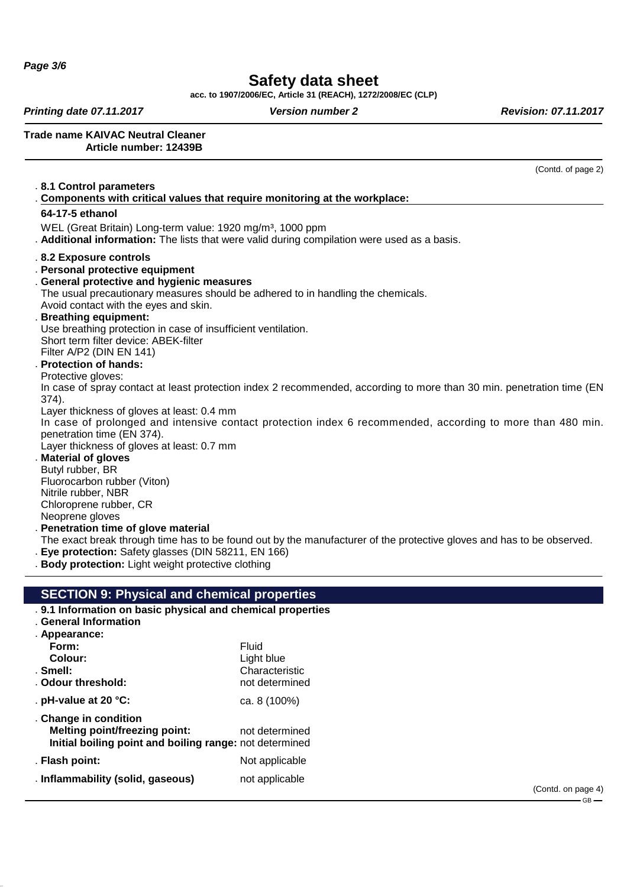**Page 3/6**

# **Safety data sheet**

**acc. to 1907/2006/EC, Article 31 (REACH), 1272/2008/EC (CLP)**

**Printing date 07.11.2017 Version number 2 Revision: 07.11.2017 Revision: 07.11.2017** 

**Trade name KAIVAC Neutral Cleaner Article number: 12439B**

#### (Contd. of page 2) . **8.1 Control parameters Components with critical values that require monito** . **ring at the workplace: 64-17-5 ethanol** WEL (Great Britain) Long-term value: 1920 mg/m<sup>3</sup>, 1000 ppm . **Additional information:** The lists that were valid during compilation were used as a basis. . **8.2 Exposure controls** . **Personal protective equipment** . **General protective and hygienic measures** The usual precautionary measures should be adhered to in handling the chemicals. Avoid contact with the eyes and skin. . **Breathing equipment:** Use breathing protection in case of insufficient ventilation. Short term filter device: ABEK-filter Filter A/P2 (DIN EN 141) . **Protection of hands:** Protective gloves: In case of spray contact at least protection index 2 recommended, according to more than 30 min. penetration time (EN 374). Layer thickness of gloves at least: 0.4 mm In case of prolonged and intensive contact protection index 6 recommended, according to more than 480 min. penetration time (EN 374). Layer thickness of gloves at least: 0.7 mm . **Material of gloves** Butyl rubber, BR Fluorocarbon rubber (Viton) Nitrile rubber, NBR Chloroprene rubber, CR Neoprene gloves . **Penetration time of glove material** The exact break through time has to be found out by the manufacturer of the protective gloves and has to be observed. . **Eye protection:** Safety glasses (DIN 58211, EN 166) . **Body protection:** Light weight protective clothing **SECTION 9: Physical and chemical properties** . **9.1 Information on basic physical and chemical properties** . **General Information** . **Appearance:** Form: Fluid **Colour:** Light blue . **Smell:** Characteristic . Odour threshold: not determined

. **pH-value at 20 °C:** ca. 8 (100%) . **Change in condition**

**Melting point/freezing point:** not determined **Initial boiling point and boiling range:** not determined . **Flash point:** Not applicable

. **Inflammability (solid, gaseous)** not applicable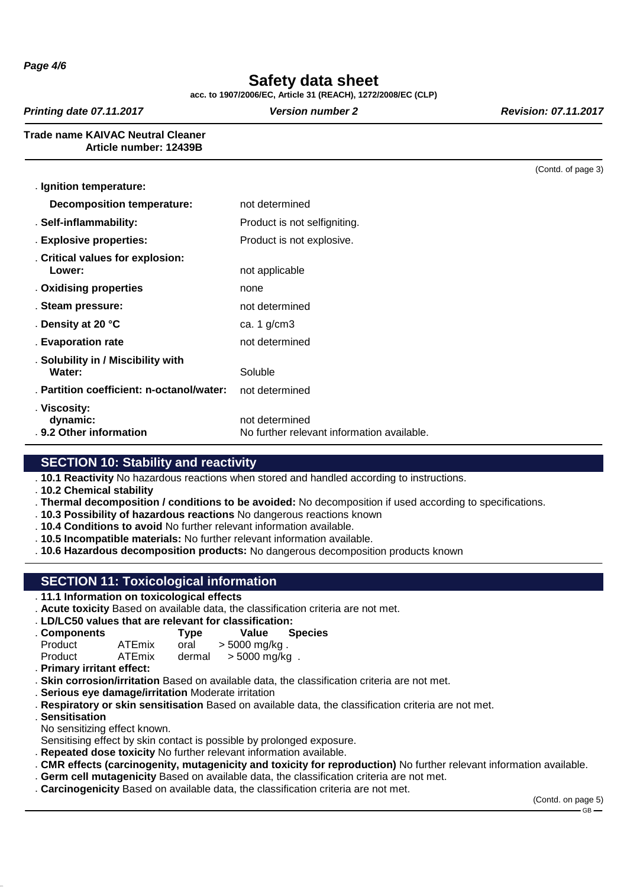**Page 4/6**

# **Safety data sheet**

**acc. to 1907/2006/EC, Article 31 (REACH), 1272/2008/EC (CLP)**

**Printing date 07.11.2017 Version number 2 Revision: 07.11.2017 Revision: 07.11.2017** 

#### **Trade name KAIVAC Neutral Cleaner Article number: 12439B**

|                                                              | (Contd. of page 3) |
|--------------------------------------------------------------|--------------------|
|                                                              |                    |
| not determined                                               |                    |
| Product is not selfigniting.                                 |                    |
| Product is not explosive.                                    |                    |
| not applicable                                               |                    |
| none                                                         |                    |
| not determined                                               |                    |
| ca. $1$ g/cm $3$                                             |                    |
| not determined                                               |                    |
| Soluble                                                      |                    |
| not determined                                               |                    |
| not determined<br>No further relevant information available. |                    |
|                                                              |                    |

## **SECTION 10: Stability and reactivity**

. **10.1 Reactivity** No hazardous reactions when stored and handled according to instructions.

- . **10.2 Chemical stability**
- . **Thermal decomposition / conditions to be avoided:** No decomposition if used according to specifications.
- . **10.3 Possibility of hazardous reactions** No dangerous reactions known
- . **10.4 Conditions to avoid** No further relevant information available.
- . **10.5 Incompatible materials:** No further relevant information available.
- . **10.6 Hazardous decomposition products:** No dangerous decomposition products known

## **SECTION 11: Toxicological information**

- . **11.1 Information on toxicological effects**
- . **Acute toxicity** Based on available data, the classification criteria are not met.
- . **LD/LC50 values that are relevant for classification:**

| . Components |               | Type   | Value         | <b>Species</b> |
|--------------|---------------|--------|---------------|----------------|
| Product      | <b>ATEmix</b> | oral   | > 5000 mg/kg. |                |
| Product      | <b>ATEmix</b> | dermal | > 5000 mg/kg. |                |

- . **Primary irritant effect:**
- . **Skin corrosion/irritation** Based on available data, the classification criteria are not met.
- . **Serious eye damage/irritation** Moderate irritation
- . **Respiratory or skin sensitisation** Based on available data, the classification criteria are not met.
- . **Sensitisation**
- No sensitizing effect known.
- Sensitising effect by skin contact is possible by prolonged exposure.
- . **Repeated dose toxicity** No further relevant information available.
- . **CMR effects (carcinogenity, mutagenicity and toxicity for reproduction)** No further relevant information available.
- . **Germ cell mutagenicity** Based on available data, the classification criteria are not met.
- . **Carcinogenicity** Based on available data, the classification criteria are not met.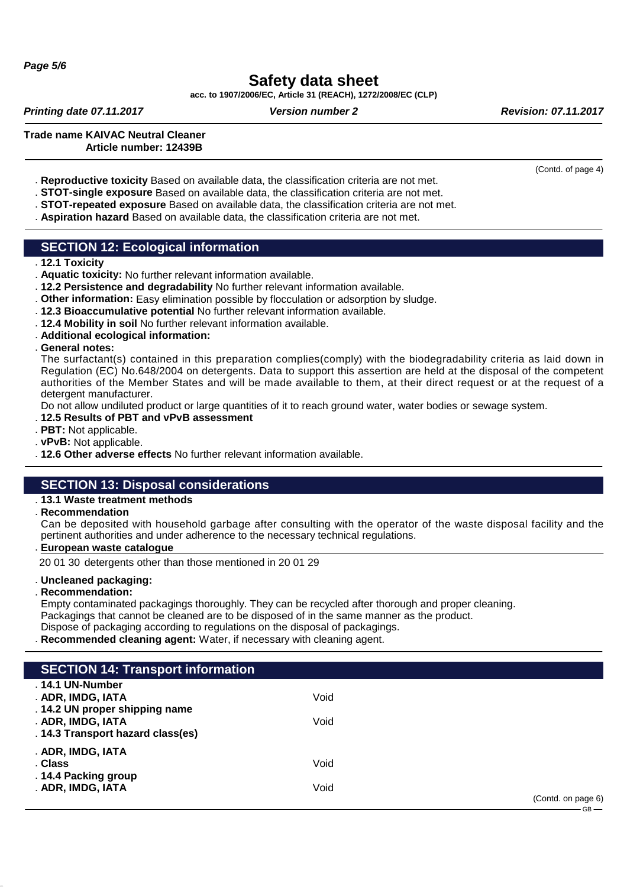# **Safety data sheet**

**acc. to 1907/2006/EC, Article 31 (REACH), 1272/2008/EC (CLP)**

**Printing date 07.11.2017 Version number 2 Revision: 07.11.2017 Revision: 07.11.2017** 

**Trade name KAIVAC Neutral Cleaner Article number: 12439B**

- . **Reproductive toxicity** Based on available data, the classification criteria are not met.
- . **STOT-single exposure** Based on available data, the classification criteria are not met.
- . **STOT-repeated exposure** Based on available data, the classification criteria are not met.
- . **Aspiration hazard** Based on available data, the classification criteria are not met.

### **SECTION 12: Ecological information**

. **12.1 Toxicity**

- . **Aquatic toxicity:** No further relevant information available.
- . **12.2 Persistence and degradability** No further relevant information available.
- . **Other information:** Easy elimination possible by flocculation or adsorption by sludge.
- . **12.3 Bioaccumulative potential** No further relevant information available.
- . **12.4 Mobility in soil** No further relevant information available.
- . **Additional ecological information:**
- . **General notes:**

The surfactant(s) contained in this preparation complies(comply) with the biodegradability criteria as laid down in Regulation (EC) No.648/2004 on detergents. Data to support this assertion are held at the disposal of the competent authorities of the Member States and will be made available to them, at their direct request or at the request of a detergent manufacturer.

Do not allow undiluted product or large quantities of it to reach ground water, water bodies or sewage system.

- . **12.5 Results of PBT and vPvB assessment**
- . **PBT:** Not applicable.
- . **vPvB:** Not applicable.
- . **12.6 Other adverse effects** No further relevant information available.

## **SECTION 13: Disposal considerations**

#### . **13.1 Waste treatment methods**

. **Recommendation**

Can be deposited with household garbage after consulting with the operator of the waste disposal facility and the pertinent authorities and under adherence to the necessary technical regulations.

**European waste catalogue** .

20 01 30 detergents other than those mentioned in 20 01 29

#### . **Uncleaned packaging:**

. **Recommendation:**

Empty contaminated packagings thoroughly. They can be recycled after thorough and proper cleaning. Packagings that cannot be cleaned are to be disposed of in the same manner as the product. Dispose of packaging according to regulations on the disposal of packagings.

. **Recommended cleaning agent:** Water, if necessary with cleaning agent.

| <b>SECTION 14: Transport information</b> |      |                                                                                                                                                                                                                                                                                                                                                                                                                                                                                                       |
|------------------------------------------|------|-------------------------------------------------------------------------------------------------------------------------------------------------------------------------------------------------------------------------------------------------------------------------------------------------------------------------------------------------------------------------------------------------------------------------------------------------------------------------------------------------------|
| . 14.1 UN-Number                         |      |                                                                                                                                                                                                                                                                                                                                                                                                                                                                                                       |
| . ADR, IMDG, IATA                        | Void |                                                                                                                                                                                                                                                                                                                                                                                                                                                                                                       |
| . 14.2 UN proper shipping name           |      |                                                                                                                                                                                                                                                                                                                                                                                                                                                                                                       |
| . ADR, IMDG, IATA                        | Void |                                                                                                                                                                                                                                                                                                                                                                                                                                                                                                       |
| . 14.3 Transport hazard class(es)        |      |                                                                                                                                                                                                                                                                                                                                                                                                                                                                                                       |
| . ADR, IMDG, IATA                        |      |                                                                                                                                                                                                                                                                                                                                                                                                                                                                                                       |
| . Class                                  | Void |                                                                                                                                                                                                                                                                                                                                                                                                                                                                                                       |
| .14.4 Packing group                      |      |                                                                                                                                                                                                                                                                                                                                                                                                                                                                                                       |
| . ADR, IMDG, IATA                        | Void |                                                                                                                                                                                                                                                                                                                                                                                                                                                                                                       |
|                                          |      | (Contd. on page 6)<br>$\overline{\phantom{a}}$ $\overline{\phantom{a}}$ $\overline{\phantom{a}}$ $\overline{\phantom{a}}$ $\overline{\phantom{a}}$ $\overline{\phantom{a}}$ $\overline{\phantom{a}}$ $\overline{\phantom{a}}$ $\overline{\phantom{a}}$ $\overline{\phantom{a}}$ $\overline{\phantom{a}}$ $\overline{\phantom{a}}$ $\overline{\phantom{a}}$ $\overline{\phantom{a}}$ $\overline{\phantom{a}}$ $\overline{\phantom{a}}$ $\overline{\phantom{a}}$ $\overline{\phantom{a}}$ $\overline{\$ |

(Contd. of page 4)